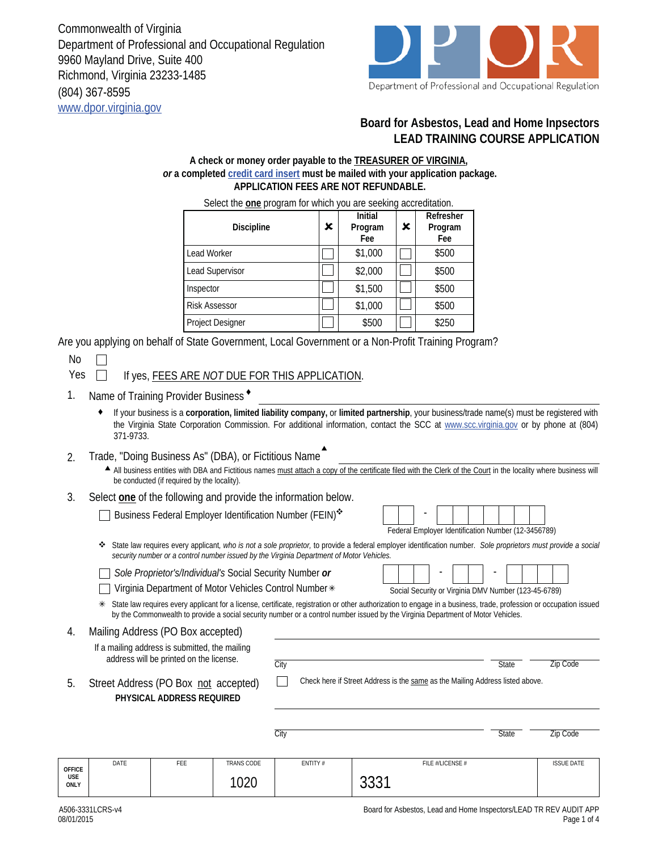Commonwealth of Virginia Department of Professional and Occupational Regulation 9960 Mayland Drive, Suite 400 Richmond, Virginia 23233-1485 (804) 367-8595 www.dpor.virginia.gov



## **Board for Asbestos, Lead and Home Inpsectors LEAD TRAINING COURSE APPLICATION**

## **A check or money order payable to the TREASURER OF VIRGINIA,**  *or* **a completed credit card insert must be mailed with your application package. APPLICATION FEES ARE NOT REFUNDABLE.**

Select the **one** program for which you are seeking accreditation. Discipline | X **Initial Program Fee** × **Refresher Program Fee** Lead Worker  $\Box$  \$1,000  $\Box$  \$500 Lead Supervisor  $\begin{array}{|c|c|c|c|c|c|c|c|c|} \hline \end{array}$  \$500  $\begin{array}{|c|c|c|c|c|c|c|c|c|} \hline \end{array}$  \$500 Inspector  $\begin{array}{|c|c|c|c|c|c|c|c|c|} \hline \quad \text{$500}\quad & \text{$500}\ \hline \end{array}$ Risk Assessor  $\begin{bmatrix} \begin{bmatrix} \begin{bmatrix} 1 \end{bmatrix} & \begin{bmatrix} 1 \end{bmatrix} & 000 & \begin{bmatrix} \begin{bmatrix} \begin{bmatrix} \end{bmatrix} & \begin{bmatrix} 500 \end{bmatrix} \end{bmatrix} \end{bmatrix} \end{bmatrix}$ Project Designer | | | | \$500 | | | \$250

Are you applying on behalf of State Government, Local Government or a Non-Profit Training Program?

No

Yes **If yes, FEES ARE** *NOT* **DUE FOR THIS APPLICATION.** 

- 1. Name of Training Provider Business<sup>+</sup>
	- ♦ If your business is a **corporation, limited liability company,** or **limited partnership**, your business/trade name(s) must be registered with the Virginia State Corporation Commission. For additional information, contact the SCC at www.scc.virginia.gov or by phone at (804) 371-9733.
- 2. Trade, "Doing Business As" (DBA), or Fictitious Name ▲

All business entities with DBA and Fictitious names must attach a copy of the certificate filed with the Clerk of the Court in the locality where business will be conducted (if required by the locality).

3. Select **one** of the following and provide the information below.

Business Federal Employer Identification Number (FEIN)\*

| Federal Employer Identification Number (12-3456789) |  |  |  |  |  |  |  |  |  |  |
|-----------------------------------------------------|--|--|--|--|--|--|--|--|--|--|

State law requires every applicant*, who is not a sole proprietor,* to provide a federal employer identification number. *Sole proprietors must provide a social security number or a control number issued by the Virginia Department of Motor Vehicles.*

*Sole Proprietor's/Individual's* Social Security Number *or*

Virginia Department of Motor Vehicles Control Number

|  |  | Social Security or Virginia DMV Number (123-45-6789) |  |  |  |  |  |  |  |
|--|--|------------------------------------------------------|--|--|--|--|--|--|--|

State law requires every applicant for a license, certificate, registration or other authorization to engage in a business, trade, profession or occupation issued by the Commonwealth to provide a social security number or a control number issued by the Virginia Department of Motor Vehicles.

Mailing Address (PO Box accepted) 4. If a mailing address is submitted, the mailing address will be printed on the license. City **State** Zip Code Check here if Street Address is the same as the Mailing Address listed above.  $\mathbf{L}$ 5. Street Address (PO Box not accepted) **PHYSICAL ADDRESS REQUIRED** City **State Zip Code** DATE FEE TRANS CODE ENTITY # FILE #/LICENSE # ISSUE DATE **OFFICE USE**  1020 3331 **ONLY**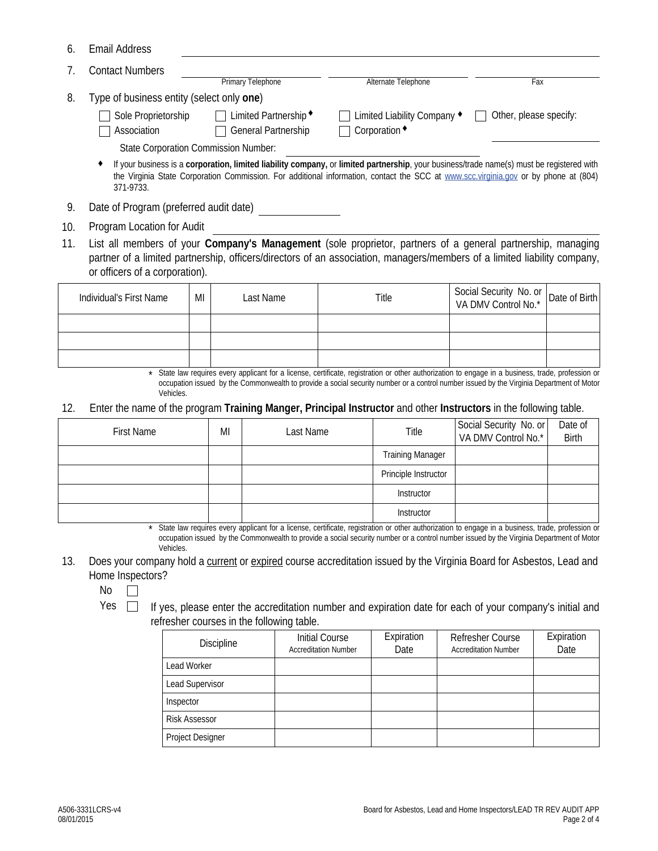| 6. | <b>Email Address</b> |
|----|----------------------|
|----|----------------------|

|    | <b>Contact Numbers</b>                    |                                             |                                                                                                                                                                                                                                                                                  |                               |
|----|-------------------------------------------|---------------------------------------------|----------------------------------------------------------------------------------------------------------------------------------------------------------------------------------------------------------------------------------------------------------------------------------|-------------------------------|
|    |                                           | Primary Telephone                           | Alternate Telephone                                                                                                                                                                                                                                                              | Fax                           |
| 8. | Type of business entity (select only one) |                                             |                                                                                                                                                                                                                                                                                  |                               |
|    | Sole Proprietorship                       | $\Box$ Limited Partnership $\triangleleft$  | Limited Liability Company ♦                                                                                                                                                                                                                                                      | $\Box$ Other, please specify: |
|    | Association                               | General Partnership                         | Corporation •                                                                                                                                                                                                                                                                    |                               |
|    |                                           | <b>State Corporation Commission Number:</b> |                                                                                                                                                                                                                                                                                  |                               |
|    |                                           |                                             | If your business is a corporation, limited liability company, or limited partnership, your business/trade name(s) must be registered with<br>the Virginia State Corporation Commission. For additional information, contact the SCC at www.scc.virginia.gov or by phone at (804) |                               |

- 9. Date of Program (preferred audit date)
- 10. Program Location for Audit

371-9733.

List all members of your **Company's Management** (sole proprietor, partners of a general partnership, managing partner of a limited partnership, officers/directors of an association, managers/members of a limited liability company, or officers of a corporation). 11.

| Individual's First Name | MI | Last Name | Title | Social Security No. or<br>VA DMV Control No.* Date of Birth |  |
|-------------------------|----|-----------|-------|-------------------------------------------------------------|--|
|                         |    |           |       |                                                             |  |
|                         |    |           |       |                                                             |  |
|                         |    |           |       |                                                             |  |

<sup>\*</sup> State law requires every applicant for a license, certificate, registration or other authorization to engage in a business, trade, profession or occupation issued by the Commonwealth to provide a social security number or a control number issued by the Virginia Department of Motor Vehicles.

12. Enter the name of the program **Training Manger, Principal Instructor** and other **Instructors** in the following table.

| <b>First Name</b> | MI | Last Name | Title                   | Social Security No. or<br>VA DMV Control No.* | Date of<br>Birth |
|-------------------|----|-----------|-------------------------|-----------------------------------------------|------------------|
|                   |    |           | <b>Training Manager</b> |                                               |                  |
|                   |    |           | Principle Instructor    |                                               |                  |
|                   |    |           | Instructor              |                                               |                  |
|                   |    |           | Instructor              |                                               |                  |

\* State law requires every applicant for a license, certificate, registration or other authorization to engage in a business, trade, profession or occupation issued by the Commonwealth to provide a social security number or a control number issued by the Virginia Department of Motor Vehicles.

13. Does your company hold a current or expired course accreditation issued by the Virginia Board for Asbestos, Lead and Home Inspectors?

No  $\Box$ 

- 
- Yes  $\Box$  If yes, please enter the accreditation number and expiration date for each of your company's initial and refresher courses in the following table.

| <b>Discipline</b>    | Initial Course<br><b>Accreditation Number</b> | Expiration<br>Date | <b>Refresher Course</b><br><b>Accreditation Number</b> | Expiration<br>Date |
|----------------------|-----------------------------------------------|--------------------|--------------------------------------------------------|--------------------|
| Lead Worker          |                                               |                    |                                                        |                    |
| Lead Supervisor      |                                               |                    |                                                        |                    |
| Inspector            |                                               |                    |                                                        |                    |
| <b>Risk Assessor</b> |                                               |                    |                                                        |                    |
| Project Designer     |                                               |                    |                                                        |                    |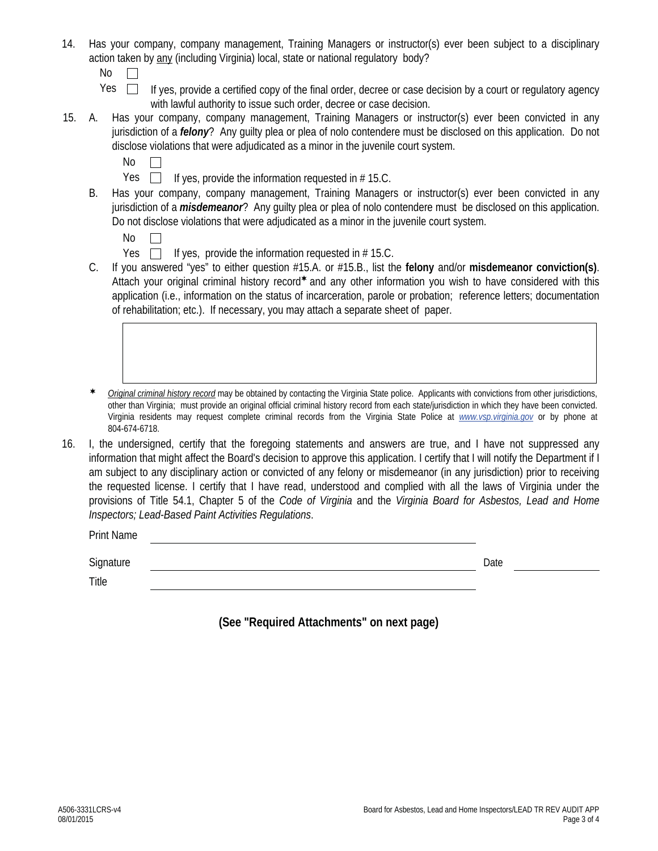- 14. Has your company, company management, Training Managers or instructor(s) ever been subject to a disciplinary action taken by any (including Virginia) local, state or national regulatory body?
	- $No \quad \Box$
	- Yes  $\Box$  If yes, provide a certified copy of the final order, decree or case decision by a court or regulatory agency with lawful authority to issue such order, decree or case decision.
- 15. A. Has your company, company management, Training Managers or instructor(s) ever been convicted in any jurisdiction of a *felony*? Any guilty plea or plea of nolo contendere must be disclosed on this application. Do not disclose violations that were adjudicated as a minor in the juvenile court system.
	- $No \Box$
	- Yes  $\Box$  If yes, provide the information requested in # 15.C.
	- B. Has your company, company management, Training Managers or instructor(s) ever been convicted in any jurisdiction of a *misdemeanor*? Any guilty plea or plea of nolo contendere must be disclosed on this application. Do not disclose violations that were adjudicated as a minor in the juvenile court system.
		- $No \Box$
		- Yes  $\Box$  If yes, provide the information requested in # 15.C.
	- C. If you answered "yes" to either question #15.A. or #15.B., list the **felony** and/or **misdemeanor conviction(s)**. Attach your original criminal history record\* and any other information you wish to have considered with this application (i.e., information on the status of incarceration, parole or probation; reference letters; documentation of rehabilitation; etc.). If necessary, you may attach a separate sheet of paper.
	- *Original criminal history record* may be obtained by contacting the Virginia State police. Applicants with convictions from other jurisdictions, other than Virginia; must provide an original official criminal history record from each state/jurisdiction in which they have been convicted. Virginia residents may request complete criminal records from the Virginia State Police at *www.vsp.virginia.gov* or by phone at 804-674-6718.
- 16. I, the undersigned, certify that the foregoing statements and answers are true, and I have not suppressed any information that might affect the Board's decision to approve this application. I certify that I will notify the Department if I am subject to any disciplinary action or convicted of any felony or misdemeanor (in any jurisdiction) prior to receiving the requested license. I certify that I have read, understood and complied with all the laws of Virginia under the provisions of Title 54.1, Chapter 5 of the *Code of Virginia* and the *Virginia Board for Asbestos, Lead and Home Inspectors; Lead-Based Paint Activities Regulations*.

Print Name

Signature Date

Title

**(See "Required Attachments" on next page)**